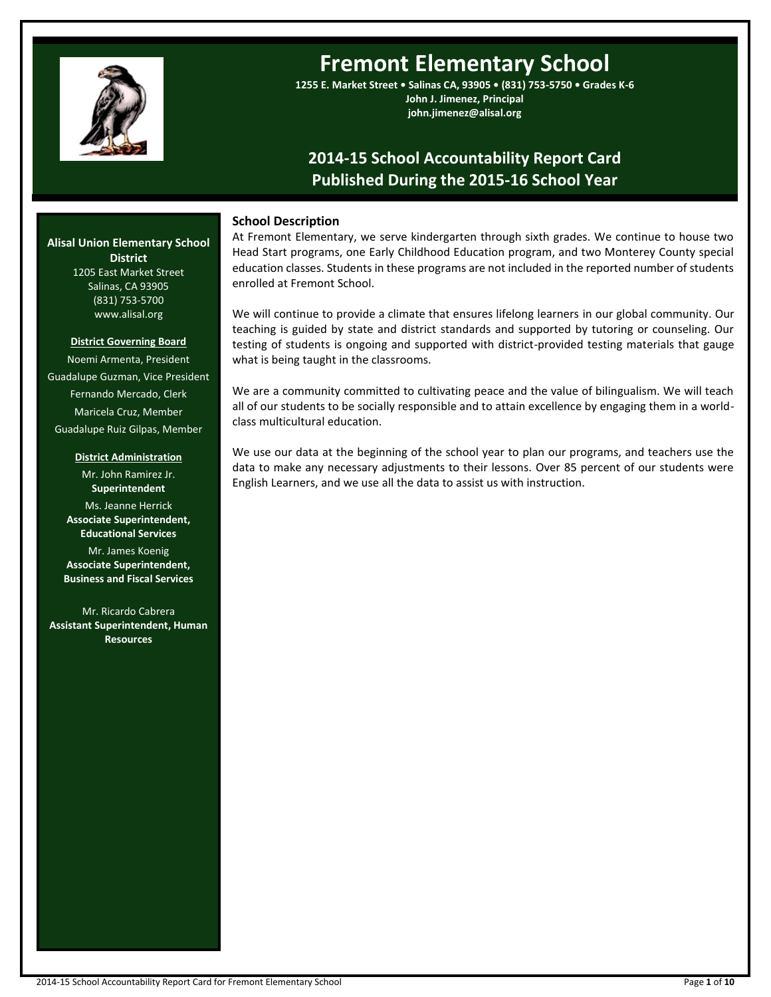

# **Fremont Elementary School**

**1255 E. Market Street • Salinas CA, 93905 • (831) 753-5750 • Grades K-6 John J. Jimenez, Principal john.jimenez@alisal.org**

## **2014-15 School Accountability Report Card Published During the 2015-16 School Year**

## **School Description**

At Fremont Elementary, we serve kindergarten through sixth grades. We continue to house two Head Start programs, one Early Childhood Education program, and two Monterey County special education classes. Students in these programs are not included in the reported number of students enrolled at Fremont School.

We will continue to provide a climate that ensures lifelong learners in our global community. Our teaching is guided by state and district standards and supported by tutoring or counseling. Our testing of students is ongoing and supported with district-provided testing materials that gauge what is being taught in the classrooms.

We are a community committed to cultivating peace and the value of bilingualism. We will teach all of our students to be socially responsible and to attain excellence by engaging them in a worldclass multicultural education.

We use our data at the beginning of the school year to plan our programs, and teachers use the data to make any necessary adjustments to their lessons. Over 85 percent of our students were English Learners, and we use all the data to assist us with instruction.

## **Alisal Union Elementary School District** 1205 East Market Street

Salinas, CA 93905 (831) 753-5700 www.alisal.org

#### **District Governing Board**

Noemi Armenta, President Guadalupe Guzman, Vice President Fernando Mercado, Clerk Maricela Cruz, Member Guadalupe Ruiz Gilpas, Member

#### **District Administration**

Mr. John Ramirez Jr. **Superintendent** Ms. Jeanne Herrick **Associate Superintendent, Educational Services** Mr. James Koenig

**Associate Superintendent, Business and Fiscal Services**

Mr. Ricardo Cabrera **Assistant Superintendent, Human Resources**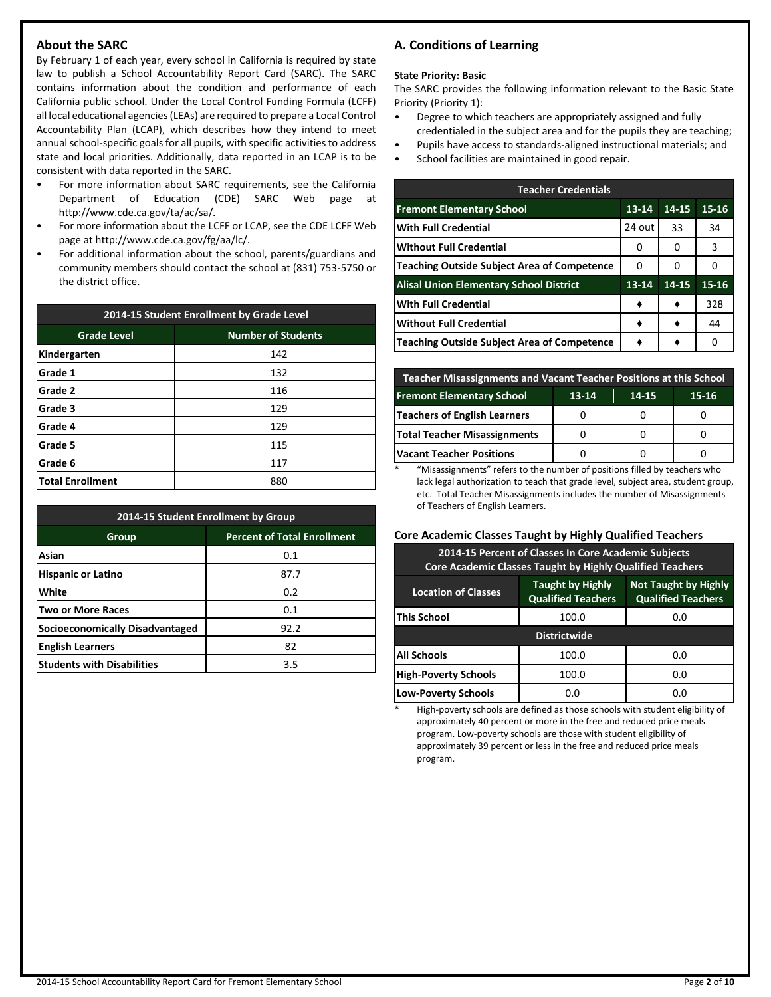## **About the SARC**

By February 1 of each year, every school in California is required by state law to publish a School Accountability Report Card (SARC). The SARC contains information about the condition and performance of each California public school. Under the Local Control Funding Formula (LCFF) all local educational agencies (LEAs) are required to prepare a Local Control Accountability Plan (LCAP), which describes how they intend to meet annual school-specific goals for all pupils, with specific activities to address state and local priorities. Additionally, data reported in an LCAP is to be consistent with data reported in the SARC.

- For more information about SARC requirements, see the California Department of Education (CDE) SARC Web page at http://www.cde.ca.gov/ta/ac/sa/.
- For more information about the LCFF or LCAP, see the CDE LCFF Web page at http://www.cde.ca.gov/fg/aa/lc/.
- For additional information about the school, parents/guardians and community members should contact the school at (831) 753-5750 or the district office.

| 2014-15 Student Enrollment by Grade Level |                           |  |  |  |
|-------------------------------------------|---------------------------|--|--|--|
| <b>Grade Level</b>                        | <b>Number of Students</b> |  |  |  |
| Kindergarten                              | 142                       |  |  |  |
| Grade 1                                   | 132                       |  |  |  |
| Grade 2                                   | 116                       |  |  |  |
| Grade 3                                   | 129                       |  |  |  |
| Grade 4                                   | 129                       |  |  |  |
| Grade 5                                   | 115                       |  |  |  |
| Grade 6                                   | 117                       |  |  |  |
| <b>Total Enrollment</b>                   | 880                       |  |  |  |

| 2014-15 Student Enrollment by Group    |                                    |  |  |  |  |
|----------------------------------------|------------------------------------|--|--|--|--|
| Group                                  | <b>Percent of Total Enrollment</b> |  |  |  |  |
| Asian                                  | 0.1                                |  |  |  |  |
| <b>Hispanic or Latino</b>              | 87.7                               |  |  |  |  |
| White                                  | 0.2                                |  |  |  |  |
| <b>Two or More Races</b>               | 0.1                                |  |  |  |  |
| <b>Socioeconomically Disadvantaged</b> | 92.2                               |  |  |  |  |
| <b>English Learners</b>                | 82                                 |  |  |  |  |
| <b>Students with Disabilities</b>      | 3.5                                |  |  |  |  |

## **A. Conditions of Learning**

#### **State Priority: Basic**

The SARC provides the following information relevant to the Basic State Priority (Priority 1):

- Degree to which teachers are appropriately assigned and fully credentialed in the subject area and for the pupils they are teaching;
- Pupils have access to standards-aligned instructional materials; and
- School facilities are maintained in good repair.

| <b>Teacher Credentials</b>                         |           |           |           |  |  |  |  |  |
|----------------------------------------------------|-----------|-----------|-----------|--|--|--|--|--|
| <b>Fremont Elementary School</b>                   | $13 - 14$ | $14 - 15$ | $15 - 16$ |  |  |  |  |  |
| <b>With Full Credential</b>                        | 24 out    | 33        | 34        |  |  |  |  |  |
| <b>Without Full Credential</b>                     | O         | 0         | 3         |  |  |  |  |  |
| <b>Teaching Outside Subject Area of Competence</b> | 0         | 0         | O         |  |  |  |  |  |
| <b>Alisal Union Elementary School District</b>     | $13 - 14$ | 14-15     | 15-16     |  |  |  |  |  |
| <b>With Full Credential</b>                        |           |           | 328       |  |  |  |  |  |
| Without Full Credential                            |           |           | 44        |  |  |  |  |  |
| Teaching Outside Subject Area of Competence        |           |           | O         |  |  |  |  |  |

| <b>Teacher Misassignments and Vacant Teacher Positions at this School</b> |  |  |  |  |  |  |  |  |  |
|---------------------------------------------------------------------------|--|--|--|--|--|--|--|--|--|
| <b>Fremont Elementary School</b><br>$13 - 14$<br>14-15<br>15-16           |  |  |  |  |  |  |  |  |  |
| Teachers of English Learners                                              |  |  |  |  |  |  |  |  |  |
| <b>Total Teacher Misassignments</b>                                       |  |  |  |  |  |  |  |  |  |
| <b>Vacant Teacher Positions</b>                                           |  |  |  |  |  |  |  |  |  |

\* "Misassignments" refers to the number of positions filled by teachers who lack legal authorization to teach that grade level, subject area, student group, etc. Total Teacher Misassignments includes the number of Misassignments of Teachers of English Learners.

## **Core Academic Classes Taught by Highly Qualified Teachers**

| 2014-15 Percent of Classes In Core Academic Subjects<br><b>Core Academic Classes Taught by Highly Qualified Teachers</b>                       |       |     |  |  |  |  |  |
|------------------------------------------------------------------------------------------------------------------------------------------------|-------|-----|--|--|--|--|--|
| <b>Taught by Highly</b><br><b>Not Taught by Highly</b><br><b>Location of Classes</b><br><b>Qualified Teachers</b><br><b>Qualified Teachers</b> |       |     |  |  |  |  |  |
| This School                                                                                                                                    | 100.0 | 0.0 |  |  |  |  |  |
| <b>Districtwide</b>                                                                                                                            |       |     |  |  |  |  |  |
| All Schools<br>100.0<br>0.0                                                                                                                    |       |     |  |  |  |  |  |
| <b>High-Poverty Schools</b><br>100.0<br>0.0                                                                                                    |       |     |  |  |  |  |  |
| <b>Low-Poverty Schools</b>                                                                                                                     | 0.0   | 0.O |  |  |  |  |  |

High-poverty schools are defined as those schools with student eligibility of approximately 40 percent or more in the free and reduced price meals program. Low-poverty schools are those with student eligibility of approximately 39 percent or less in the free and reduced price meals program.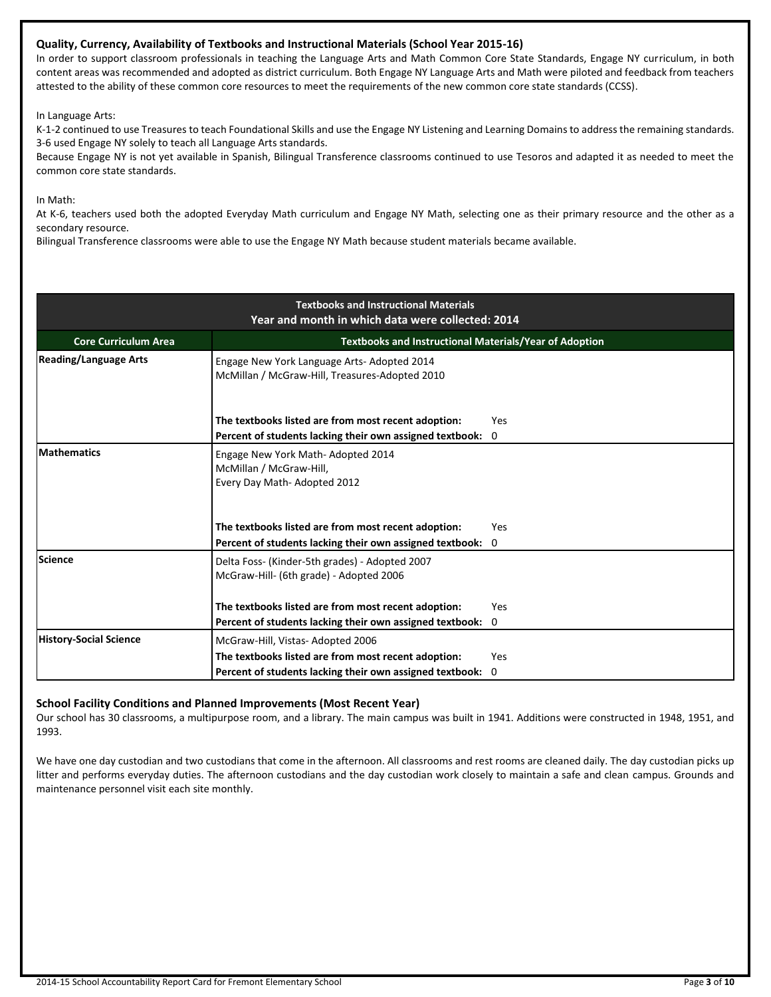## **Quality, Currency, Availability of Textbooks and Instructional Materials (School Year 2015-16)**

In order to support classroom professionals in teaching the Language Arts and Math Common Core State Standards, Engage NY curriculum, in both content areas was recommended and adopted as district curriculum. Both Engage NY Language Arts and Math were piloted and feedback from teachers attested to the ability of these common core resources to meet the requirements of the new common core state standards (CCSS).

In Language Arts:

K-1-2 continued to use Treasures to teach Foundational Skills and use the Engage NY Listening and Learning Domains to address the remaining standards. 3-6 used Engage NY solely to teach all Language Arts standards.

Because Engage NY is not yet available in Spanish, Bilingual Transference classrooms continued to use Tesoros and adapted it as needed to meet the common core state standards.

In Math:

At K-6, teachers used both the adopted Everyday Math curriculum and Engage NY Math, selecting one as their primary resource and the other as a secondary resource.

Bilingual Transference classrooms were able to use the Engage NY Math because student materials became available.

|                               | <b>Textbooks and Instructional Materials</b><br>Year and month in which data were collected: 2014                 |                    |  |  |  |  |  |
|-------------------------------|-------------------------------------------------------------------------------------------------------------------|--------------------|--|--|--|--|--|
| <b>Core Curriculum Area</b>   | <b>Textbooks and Instructional Materials/Year of Adoption</b>                                                     |                    |  |  |  |  |  |
| <b>Reading/Language Arts</b>  | Engage New York Language Arts-Adopted 2014<br>McMillan / McGraw-Hill, Treasures-Adopted 2010                      |                    |  |  |  |  |  |
|                               | The textbooks listed are from most recent adoption:<br>Percent of students lacking their own assigned textbook: 0 | Yes                |  |  |  |  |  |
| <b>Mathematics</b>            | Engage New York Math-Adopted 2014<br>McMillan / McGraw-Hill,<br>Every Day Math-Adopted 2012                       |                    |  |  |  |  |  |
|                               | The textbooks listed are from most recent adoption:<br>Percent of students lacking their own assigned textbook:   | Yes<br>$\mathbf 0$ |  |  |  |  |  |
| Science                       | Delta Foss- (Kinder-5th grades) - Adopted 2007<br>McGraw-Hill- (6th grade) - Adopted 2006                         |                    |  |  |  |  |  |
|                               | The textbooks listed are from most recent adoption:                                                               | Yes                |  |  |  |  |  |
|                               | Percent of students lacking their own assigned textbook:                                                          | $\mathbf 0$        |  |  |  |  |  |
| <b>History-Social Science</b> | McGraw-Hill, Vistas-Adopted 2006                                                                                  |                    |  |  |  |  |  |
|                               | The textbooks listed are from most recent adoption:                                                               | <b>Yes</b>         |  |  |  |  |  |
|                               | Percent of students lacking their own assigned textbook:                                                          | $\Omega$           |  |  |  |  |  |

#### **School Facility Conditions and Planned Improvements (Most Recent Year)**

Our school has 30 classrooms, a multipurpose room, and a library. The main campus was built in 1941. Additions were constructed in 1948, 1951, and 1993.

We have one day custodian and two custodians that come in the afternoon. All classrooms and rest rooms are cleaned daily. The day custodian picks up litter and performs everyday duties. The afternoon custodians and the day custodian work closely to maintain a safe and clean campus. Grounds and maintenance personnel visit each site monthly.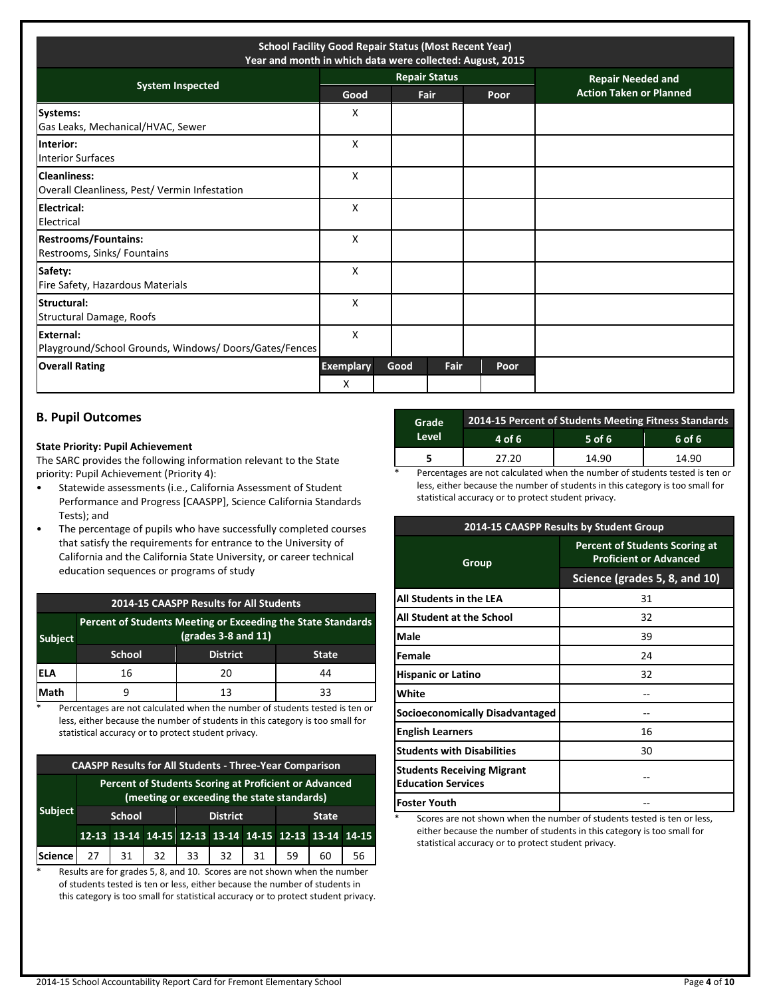| <b>School Facility Good Repair Status (Most Recent Year)</b><br>Year and month in which data were collected: August, 2015 |                       |      |                      |      |                                |  |  |
|---------------------------------------------------------------------------------------------------------------------------|-----------------------|------|----------------------|------|--------------------------------|--|--|
| <b>System Inspected</b>                                                                                                   |                       |      | <b>Repair Status</b> |      | <b>Repair Needed and</b>       |  |  |
|                                                                                                                           | Good                  |      | Fair                 | Poor | <b>Action Taken or Planned</b> |  |  |
| Systems:<br>Gas Leaks, Mechanical/HVAC, Sewer                                                                             | x                     |      |                      |      |                                |  |  |
| Interior:<br><b>Interior Surfaces</b>                                                                                     | X                     |      |                      |      |                                |  |  |
| <b>Cleanliness:</b><br>Overall Cleanliness, Pest/ Vermin Infestation                                                      | X                     |      |                      |      |                                |  |  |
| <b>Electrical:</b><br>Electrical                                                                                          | X                     |      |                      |      |                                |  |  |
| <b>Restrooms/Fountains:</b><br>Restrooms, Sinks/ Fountains                                                                | x                     |      |                      |      |                                |  |  |
| Safety:<br>Fire Safety, Hazardous Materials                                                                               | X                     |      |                      |      |                                |  |  |
| Structural:<br>Structural Damage, Roofs                                                                                   | X                     |      |                      |      |                                |  |  |
| External:<br>Playground/School Grounds, Windows/Doors/Gates/Fences                                                        | X                     |      |                      |      |                                |  |  |
| <b>Overall Rating</b>                                                                                                     | <b>Exemplary</b><br>X | Good | Fair                 | Poor |                                |  |  |

## **B. Pupil Outcomes**

#### **State Priority: Pupil Achievement**

The SARC provides the following information relevant to the State priority: Pupil Achievement (Priority 4):

- Statewide assessments (i.e., California Assessment of Student Performance and Progress [CAASPP], Science California Standards Tests); and
- The percentage of pupils who have successfully completed courses that satisfy the requirements for entrance to the University of California and the California State University, or career technical education sequences or programs of study

#### **2014-15 CAASPP Results for All Students**

| <b>Subject</b> | Percent of Students Meeting or Exceeding the State Standards |                 |              |
|----------------|--------------------------------------------------------------|-----------------|--------------|
|                | School                                                       | <b>District</b> | <b>State</b> |
| 'ELA           | 16                                                           | 20              | 44           |
| Math           |                                                              | 13              | २२           |

\* Percentages are not calculated when the number of students tested is ten or less, either because the number of students in this category is too small for statistical accuracy or to protect student privacy.

|                                                                                                     | <b>CAASPP Results for All Students - Three-Year Comparison</b> |                                                  |  |  |                                                       |  |  |    |    |  |
|-----------------------------------------------------------------------------------------------------|----------------------------------------------------------------|--------------------------------------------------|--|--|-------------------------------------------------------|--|--|----|----|--|
| Percent of Students Scoring at Proficient or Advanced<br>(meeting or exceeding the state standards) |                                                                |                                                  |  |  |                                                       |  |  |    |    |  |
| <b>Subject</b>                                                                                      |                                                                | <b>District</b><br><b>School</b><br><b>State</b> |  |  |                                                       |  |  |    |    |  |
|                                                                                                     |                                                                |                                                  |  |  | 12-13 13-14 14-15 12-13 13-14 14-15 12-13 13-14 14-15 |  |  |    |    |  |
| <b>Science</b>                                                                                      |                                                                |                                                  |  |  | 27   31   32   33   32   31   59                      |  |  | 60 | 56 |  |

\* Results are for grades 5, 8, and 10. Scores are not shown when the number of students tested is ten or less, either because the number of students in this category is too small for statistical accuracy or to protect student privacy.

| Grade | 2014-15 Percent of Students Meeting Fitness Standards |          |        |  |  |  |
|-------|-------------------------------------------------------|----------|--------|--|--|--|
| Level | 4 of 6                                                | $5$ of 6 | 6 of 6 |  |  |  |
|       | 27.20                                                 | 14.90    | 14.90  |  |  |  |
| . .   | .                                                     |          |        |  |  |  |

Percentages are not calculated when the number of students tested is ten or less, either because the number of students in this category is too small for statistical accuracy or to protect student privacy.

|                                                                | 2014-15 CAASPP Results by Student Group                                |
|----------------------------------------------------------------|------------------------------------------------------------------------|
| Group                                                          | <b>Percent of Students Scoring at</b><br><b>Proficient or Advanced</b> |
|                                                                | Science (grades 5, 8, and 10)                                          |
| All Students in the LEA                                        | 31                                                                     |
| All Student at the School                                      | 32                                                                     |
| Male                                                           | 39                                                                     |
| Female                                                         | 24                                                                     |
| <b>Hispanic or Latino</b>                                      | 32                                                                     |
| White                                                          |                                                                        |
| Socioeconomically Disadvantaged                                |                                                                        |
| <b>English Learners</b>                                        | 16                                                                     |
| <b>Students with Disabilities</b>                              | 30                                                                     |
| <b>Students Receiving Migrant</b><br><b>Education Services</b> |                                                                        |
| <b>Foster Youth</b>                                            |                                                                        |

Scores are not shown when the number of students tested is ten or less, either because the number of students in this category is too small for statistical accuracy or to protect student privacy.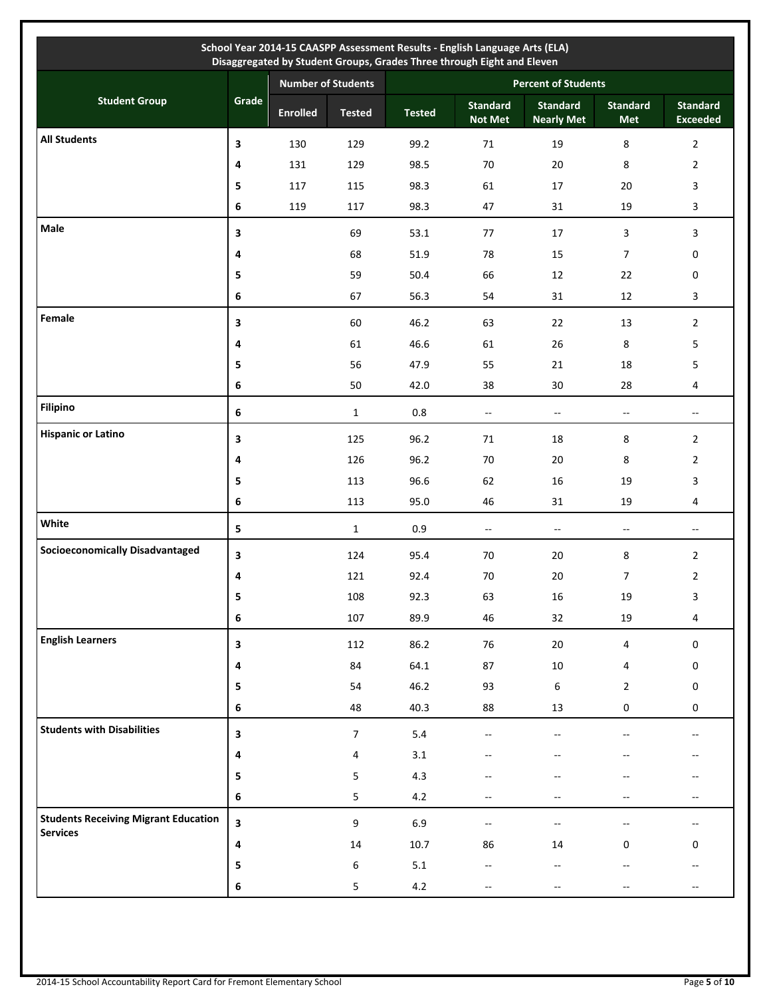| School Year 2014-15 CAASPP Assessment Results - English Language Arts (ELA)<br>Disaggregated by Student Groups, Grades Three through Eight and Eleven |       |                           |                  |               |                                   |                                      |                          |                                    |
|-------------------------------------------------------------------------------------------------------------------------------------------------------|-------|---------------------------|------------------|---------------|-----------------------------------|--------------------------------------|--------------------------|------------------------------------|
|                                                                                                                                                       |       | <b>Number of Students</b> |                  |               | <b>Percent of Students</b>        |                                      |                          |                                    |
| <b>Student Group</b>                                                                                                                                  | Grade | <b>Enrolled</b>           | <b>Tested</b>    | <b>Tested</b> | <b>Standard</b><br><b>Not Met</b> | <b>Standard</b><br><b>Nearly Met</b> | <b>Standard</b><br>Met   | <b>Standard</b><br><b>Exceeded</b> |
| <b>All Students</b>                                                                                                                                   | 3     | 130                       | 129              | 99.2          | 71                                | 19                                   | 8                        | $\overline{2}$                     |
|                                                                                                                                                       | 4     | 131                       | 129              | 98.5          | 70                                | 20                                   | 8                        | $\overline{2}$                     |
|                                                                                                                                                       | 5     | 117                       | 115              | 98.3          | 61                                | 17                                   | 20                       | 3                                  |
|                                                                                                                                                       | 6     | 119                       | 117              | 98.3          | 47                                | 31                                   | 19                       | 3                                  |
| Male                                                                                                                                                  | 3     |                           | 69               | 53.1          | 77                                | 17                                   | 3                        | 3                                  |
|                                                                                                                                                       | 4     |                           | 68               | 51.9          | 78                                | 15                                   | $\overline{7}$           | 0                                  |
|                                                                                                                                                       | 5     |                           | 59               | 50.4          | 66                                | 12                                   | 22                       | 0                                  |
|                                                                                                                                                       | 6     |                           | 67               | 56.3          | 54                                | 31                                   | 12                       | 3                                  |
| Female                                                                                                                                                | 3     |                           | 60               | 46.2          | 63                                | 22                                   | 13                       | $\overline{2}$                     |
|                                                                                                                                                       | 4     |                           | 61               | 46.6          | 61                                | 26                                   | 8                        | 5                                  |
|                                                                                                                                                       | 5     |                           | 56               | 47.9          | 55                                | 21                                   | 18                       | 5                                  |
|                                                                                                                                                       | 6     |                           | 50               | 42.0          | 38                                | 30                                   | 28                       | 4                                  |
| <b>Filipino</b>                                                                                                                                       | 6     |                           | $\mathbf{1}$     | $0.8\,$       | $\overline{\phantom{a}}$          | $\sim$                               | $\overline{\phantom{a}}$ | $\overline{\phantom{a}}$           |
| <b>Hispanic or Latino</b>                                                                                                                             | 3     |                           | 125              | 96.2          | 71                                | 18                                   | 8                        | $\overline{2}$                     |
|                                                                                                                                                       | 4     |                           | 126              | 96.2          | 70                                | 20                                   | 8                        | $\overline{2}$                     |
|                                                                                                                                                       | 5     |                           | 113              | 96.6          | 62                                | 16                                   | 19                       | 3                                  |
|                                                                                                                                                       | 6     |                           | 113              | 95.0          | 46                                | 31                                   | 19                       | 4                                  |
| White                                                                                                                                                 | 5     |                           | $\mathbf{1}$     | 0.9           | $\overline{\phantom{a}}$          | $\overline{\phantom{a}}$             | $\overline{\phantom{a}}$ | $\overline{\phantom{a}}$           |
| <b>Socioeconomically Disadvantaged</b>                                                                                                                | 3     |                           | 124              | 95.4          | 70                                | 20                                   | 8                        | $\overline{2}$                     |
|                                                                                                                                                       | 4     |                           | 121              | 92.4          | 70                                | 20                                   | $\overline{7}$           | $\overline{2}$                     |
|                                                                                                                                                       | 5     |                           | 108              | 92.3          | 63                                | $16\,$                               | 19                       | 3                                  |
|                                                                                                                                                       | 6     |                           | 107              | 89.9          | 46                                | 32                                   | $19\,$                   | 4                                  |
| <b>English Learners</b>                                                                                                                               | 3     |                           | 112              | 86.2          | 76                                | $20\,$                               | $\overline{4}$           | $\mathsf{O}\xspace$                |
|                                                                                                                                                       | 4     |                           | 84               | 64.1          | 87                                | $10\,$                               | 4                        | 0                                  |
|                                                                                                                                                       | 5     |                           | 54               | 46.2          | 93                                | 6                                    | $\overline{2}$           | $\mathbf 0$                        |
|                                                                                                                                                       | 6     |                           | 48               | 40.3          | 88                                | 13                                   | 0                        | $\mathbf 0$                        |
| <b>Students with Disabilities</b>                                                                                                                     | 3     |                           | $\overline{7}$   | 5.4           | $\overline{a}$                    |                                      |                          | --                                 |
|                                                                                                                                                       | 4     |                           | 4                | 3.1           |                                   |                                      |                          |                                    |
|                                                                                                                                                       | 5     |                           | 5                | 4.3           |                                   |                                      |                          |                                    |
|                                                                                                                                                       | 6     |                           | 5                | 4.2           |                                   |                                      |                          |                                    |
| <b>Students Receiving Migrant Education</b><br><b>Services</b>                                                                                        | 3     |                           | $\boldsymbol{9}$ | 6.9           | $\mathcal{L}_{\mathcal{F}}$       | $\overline{\phantom{a}}$             |                          | $\overline{\phantom{a}}$           |
|                                                                                                                                                       | 4     |                           | 14               | 10.7          | 86                                | 14                                   | $\mathbf{0}$             | 0                                  |
|                                                                                                                                                       | 5     |                           | $\,6\,$          | 5.1           | --                                |                                      |                          | $-$                                |
|                                                                                                                                                       | 6     |                           | 5                | 4.2           |                                   |                                      |                          |                                    |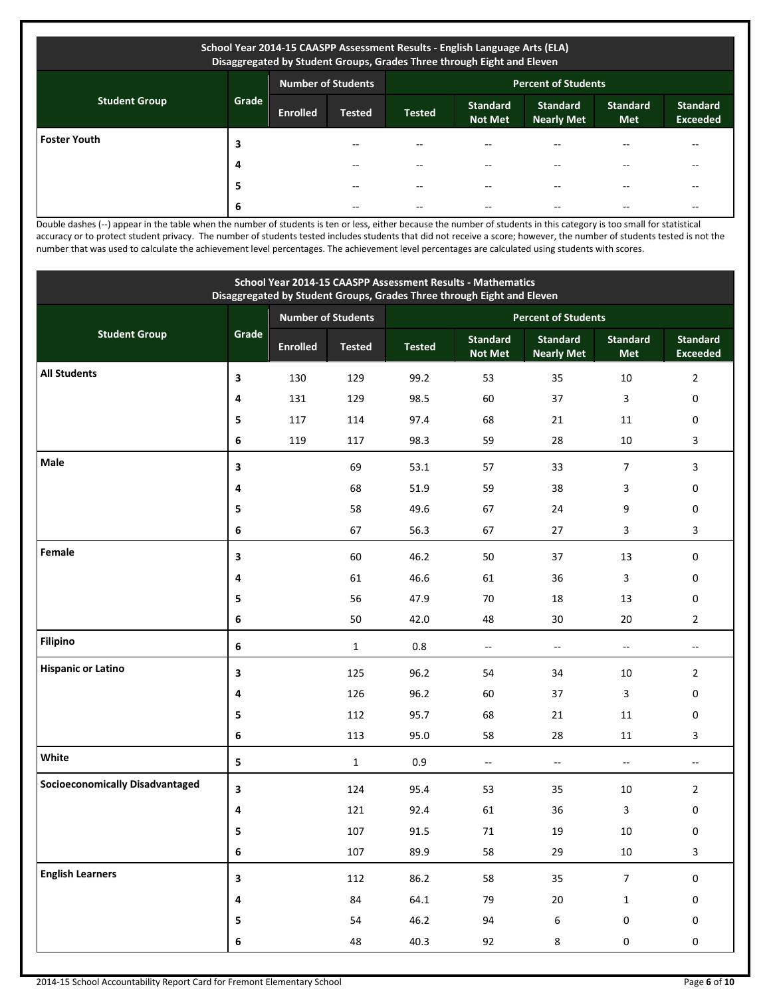| School Year 2014-15 CAASPP Assessment Results - English Language Arts (ELA)<br>Disaggregated by Student Groups, Grades Three through Eight and Eleven |       |                 |                           |                            |                                   |                                      |                        |                                    |
|-------------------------------------------------------------------------------------------------------------------------------------------------------|-------|-----------------|---------------------------|----------------------------|-----------------------------------|--------------------------------------|------------------------|------------------------------------|
|                                                                                                                                                       |       |                 | <b>Number of Students</b> | <b>Percent of Students</b> |                                   |                                      |                        |                                    |
| <b>Student Group</b>                                                                                                                                  | Grade | <b>Enrolled</b> | <b>Tested</b>             | <b>Tested</b>              | <b>Standard</b><br><b>Not Met</b> | <b>Standard</b><br><b>Nearly Met</b> | <b>Standard</b><br>Met | <b>Standard</b><br><b>Exceeded</b> |
| <b>Foster Youth</b>                                                                                                                                   | 3     |                 | --                        |                            |                                   |                                      |                        | --                                 |
|                                                                                                                                                       | 4     |                 |                           |                            |                                   |                                      |                        | --                                 |
|                                                                                                                                                       | 5     |                 | --                        | --                         | --                                |                                      |                        | $-$                                |
|                                                                                                                                                       | 6     |                 | --                        |                            | --                                |                                      |                        | --                                 |

Double dashes (--) appear in the table when the number of students is ten or less, either because the number of students in this category is too small for statistical accuracy or to protect student privacy. The number of students tested includes students that did not receive a score; however, the number of students tested is not the number that was used to calculate the achievement level percentages. The achievement level percentages are calculated using students with scores.

| School Year 2014-15 CAASPP Assessment Results - Mathematics<br>Disaggregated by Student Groups, Grades Three through Eight and Eleven |         |                 |                           |                            |                                   |                                      |                               |                                    |  |  |
|---------------------------------------------------------------------------------------------------------------------------------------|---------|-----------------|---------------------------|----------------------------|-----------------------------------|--------------------------------------|-------------------------------|------------------------------------|--|--|
|                                                                                                                                       |         |                 | <b>Number of Students</b> | <b>Percent of Students</b> |                                   |                                      |                               |                                    |  |  |
| <b>Student Group</b>                                                                                                                  | Grade   | <b>Enrolled</b> | <b>Tested</b>             | <b>Tested</b>              | <b>Standard</b><br><b>Not Met</b> | <b>Standard</b><br><b>Nearly Met</b> | <b>Standard</b><br><b>Met</b> | <b>Standard</b><br><b>Exceeded</b> |  |  |
| <b>All Students</b>                                                                                                                   | 3       | 130             | 129                       | 99.2                       | 53                                | 35                                   | 10                            | $\overline{2}$                     |  |  |
|                                                                                                                                       | 4       | 131             | 129                       | 98.5                       | 60                                | 37                                   | 3                             | 0                                  |  |  |
|                                                                                                                                       | 5       | 117             | 114                       | 97.4                       | 68                                | 21                                   | 11                            | 0                                  |  |  |
|                                                                                                                                       | 6       | 119             | 117                       | 98.3                       | 59                                | 28                                   | 10                            | 3                                  |  |  |
| Male                                                                                                                                  | 3       |                 | 69                        | 53.1                       | 57                                | 33                                   | $\overline{7}$                | 3                                  |  |  |
|                                                                                                                                       | 4       |                 | 68                        | 51.9                       | 59                                | 38                                   | 3                             | 0                                  |  |  |
|                                                                                                                                       | 5       |                 | 58                        | 49.6                       | 67                                | 24                                   | 9                             | 0                                  |  |  |
|                                                                                                                                       | 6       |                 | 67                        | 56.3                       | 67                                | 27                                   | 3                             | 3                                  |  |  |
| Female                                                                                                                                | 3       |                 | 60                        | 46.2                       | 50                                | 37                                   | 13                            | 0                                  |  |  |
|                                                                                                                                       | 4       |                 | 61                        | 46.6                       | 61                                | 36                                   | 3                             | 0                                  |  |  |
|                                                                                                                                       | 5       |                 | 56                        | 47.9                       | 70                                | 18                                   | 13                            | 0                                  |  |  |
|                                                                                                                                       | 6       |                 | 50                        | 42.0                       | 48                                | 30                                   | 20                            | $\overline{2}$                     |  |  |
| <b>Filipino</b>                                                                                                                       | $\bf 6$ |                 | $\mathbf{1}$              | $0.8\,$                    | Ξ.                                | $\overline{\phantom{a}}$             | $\overline{\phantom{a}}$      | $-$                                |  |  |
| <b>Hispanic or Latino</b>                                                                                                             | 3       |                 | 125                       | 96.2                       | 54                                | 34                                   | 10                            | $\overline{2}$                     |  |  |
|                                                                                                                                       | 4       |                 | 126                       | 96.2                       | 60                                | 37                                   | 3                             | 0                                  |  |  |
|                                                                                                                                       | 5       |                 | 112                       | 95.7                       | 68                                | 21                                   | 11                            | 0                                  |  |  |
|                                                                                                                                       | 6       |                 | 113                       | 95.0                       | 58                                | 28                                   | 11                            | 3                                  |  |  |
| White                                                                                                                                 | 5       |                 | $\mathbf{1}$              | 0.9                        | $\overline{\phantom{a}}$          | $\overline{\phantom{a}}$             | $\overline{\phantom{a}}$      | $\overline{\phantom{a}}$           |  |  |
| <b>Socioeconomically Disadvantaged</b>                                                                                                | 3       |                 | 124                       | 95.4                       | 53                                | 35                                   | 10                            | $\overline{2}$                     |  |  |
|                                                                                                                                       | 4       |                 | 121                       | 92.4                       | 61                                | 36                                   | 3                             | 0                                  |  |  |
|                                                                                                                                       |         |                 | 107                       | 91.5                       | $71\,$                            | 19                                   | 10                            | 0                                  |  |  |
|                                                                                                                                       | 6       |                 | 107                       | 89.9                       | 58                                | 29                                   | 10                            | 3                                  |  |  |
| <b>English Learners</b>                                                                                                               | 3       |                 | 112                       | 86.2                       | 58                                | 35                                   | $\overline{7}$                | $\pmb{0}$                          |  |  |
|                                                                                                                                       | 4       |                 | 84                        | 64.1                       | 79                                | $20\,$                               | $\mathbf 1$                   | 0                                  |  |  |
|                                                                                                                                       | 5       |                 | 54                        | 46.2                       | 94                                | $\boldsymbol{6}$                     | $\pmb{0}$                     | 0                                  |  |  |
|                                                                                                                                       | 6       |                 | 48                        | 40.3                       | 92                                | 8                                    | $\pmb{0}$                     | 0                                  |  |  |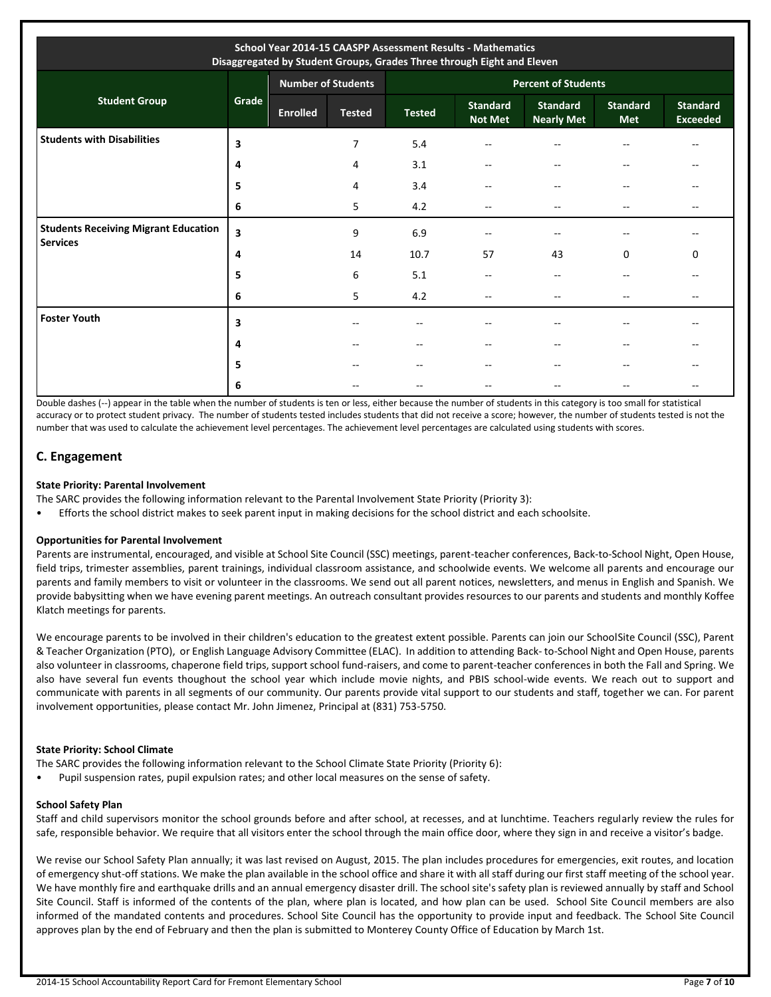| School Year 2014-15 CAASPP Assessment Results - Mathematics<br>Disaggregated by Student Groups, Grades Three through Eight and Eleven |       |                 |                           |                            |                                   |                                      |                               |                                    |
|---------------------------------------------------------------------------------------------------------------------------------------|-------|-----------------|---------------------------|----------------------------|-----------------------------------|--------------------------------------|-------------------------------|------------------------------------|
|                                                                                                                                       |       |                 | <b>Number of Students</b> | <b>Percent of Students</b> |                                   |                                      |                               |                                    |
| <b>Student Group</b>                                                                                                                  | Grade | <b>Enrolled</b> | <b>Tested</b>             | <b>Tested</b>              | <b>Standard</b><br><b>Not Met</b> | <b>Standard</b><br><b>Nearly Met</b> | <b>Standard</b><br><b>Met</b> | <b>Standard</b><br><b>Exceeded</b> |
| <b>Students with Disabilities</b>                                                                                                     | 3     |                 | 7                         | 5.4                        | $\overline{\phantom{a}}$          | --                                   | $- -$                         | $-$                                |
|                                                                                                                                       | 4     |                 | 4                         | 3.1                        | --                                | $- -$                                | $-$                           | --                                 |
|                                                                                                                                       | 5     |                 | 4                         | 3.4                        | $-$                               | $\sim$ $\sim$                        | $- -$                         |                                    |
|                                                                                                                                       | 6     |                 | 5                         | 4.2                        | $-$                               | $- -$                                | $-$                           | $-$                                |
| <b>Students Receiving Migrant Education</b><br><b>Services</b>                                                                        | 3     |                 | 9                         | 6.9                        | --                                |                                      | --                            | $-$                                |
|                                                                                                                                       | 4     |                 | 14                        | 10.7                       | 57                                | 43                                   | 0                             | 0                                  |
|                                                                                                                                       | 5     |                 | 6                         | 5.1                        | --                                |                                      | --                            |                                    |
|                                                                                                                                       | 6     |                 | 5                         | 4.2                        | $-$                               |                                      | --                            |                                    |
| <b>Foster Youth</b>                                                                                                                   | 3     |                 | $-$                       | $- -$                      | $-$                               |                                      | --                            | $-$                                |
|                                                                                                                                       | 4     |                 |                           | $- -$                      |                                   |                                      |                               |                                    |
|                                                                                                                                       | 5     |                 |                           | --                         | $-$                               |                                      | --                            |                                    |
|                                                                                                                                       | 6     |                 |                           | --                         | --                                |                                      | --                            |                                    |

Double dashes (--) appear in the table when the number of students is ten or less, either because the number of students in this category is too small for statistical accuracy or to protect student privacy. The number of students tested includes students that did not receive a score; however, the number of students tested is not the number that was used to calculate the achievement level percentages. The achievement level percentages are calculated using students with scores.

## **C. Engagement**

#### **State Priority: Parental Involvement**

The SARC provides the following information relevant to the Parental Involvement State Priority (Priority 3):

• Efforts the school district makes to seek parent input in making decisions for the school district and each schoolsite.

#### **Opportunities for Parental Involvement**

Parents are instrumental, encouraged, and visible at School Site Council (SSC) meetings, parent-teacher conferences, Back-to-School Night, Open House, field trips, trimester assemblies, parent trainings, individual classroom assistance, and schoolwide events. We welcome all parents and encourage our parents and family members to visit or volunteer in the classrooms. We send out all parent notices, newsletters, and menus in English and Spanish. We provide babysitting when we have evening parent meetings. An outreach consultant provides resources to our parents and students and monthly Koffee Klatch meetings for parents.

We encourage parents to be involved in their children's education to the greatest extent possible. Parents can join our SchoolSite Council (SSC), Parent & Teacher Organization (PTO), or English Language Advisory Committee (ELAC). In addition to attending Back- to-School Night and Open House, parents also volunteer in classrooms, chaperone field trips, support school fund-raisers, and come to parent-teacher conferences in both the Fall and Spring. We also have several fun events thoughout the school year which include movie nights, and PBIS school-wide events. We reach out to support and communicate with parents in all segments of our community. Our parents provide vital support to our students and staff, together we can. For parent involvement opportunities, please contact Mr. John Jimenez, Principal at (831) 753-5750.

#### **State Priority: School Climate**

The SARC provides the following information relevant to the School Climate State Priority (Priority 6):

• Pupil suspension rates, pupil expulsion rates; and other local measures on the sense of safety.

## **School Safety Plan**

Staff and child supervisors monitor the school grounds before and after school, at recesses, and at lunchtime. Teachers regularly review the rules for safe, responsible behavior. We require that all visitors enter the school through the main office door, where they sign in and receive a visitor's badge.

We revise our School Safety Plan annually; it was last revised on August, 2015. The plan includes procedures for emergencies, exit routes, and location of emergency shut-off stations. We make the plan available in the school office and share it with all staff during our first staff meeting of the school year. We have monthly fire and earthquake drills and an annual emergency disaster drill. The school site's safety plan is reviewed annually by staff and School Site Council. Staff is informed of the contents of the plan, where plan is located, and how plan can be used. School Site Council members are also informed of the mandated contents and procedures. School Site Council has the opportunity to provide input and feedback. The School Site Council approves plan by the end of February and then the plan is submitted to Monterey County Office of Education by March 1st.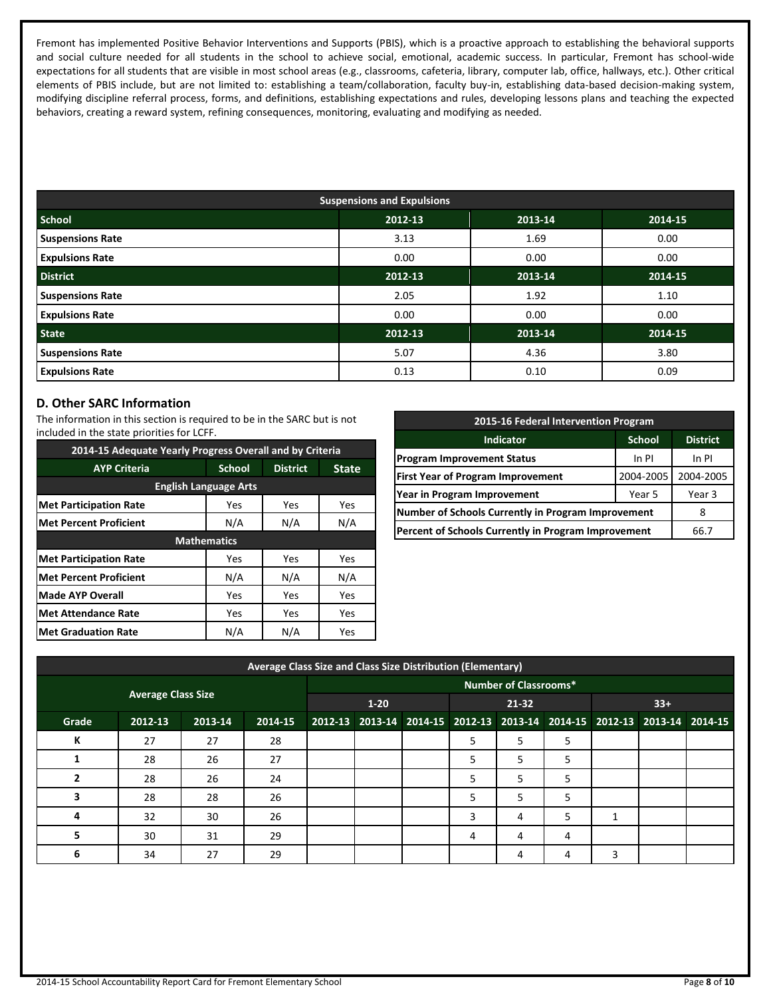Fremont has implemented Positive Behavior Interventions and Supports (PBIS), which is a proactive approach to establishing the behavioral supports and social culture needed for all students in the school to achieve social, emotional, academic success. In particular, Fremont has school-wide expectations for all students that are visible in most school areas (e.g., classrooms, cafeteria, library, computer lab, office, hallways, etc.). Other critical elements of PBIS include, but are not limited to: establishing a team/collaboration, faculty buy-in, establishing data-based decision-making system, modifying discipline referral process, forms, and definitions, establishing expectations and rules, developing lessons plans and teaching the expected behaviors, creating a reward system, refining consequences, monitoring, evaluating and modifying as needed.

| <b>Suspensions and Expulsions</b> |         |         |         |  |  |  |  |
|-----------------------------------|---------|---------|---------|--|--|--|--|
| <b>School</b>                     | 2012-13 | 2013-14 | 2014-15 |  |  |  |  |
| <b>Suspensions Rate</b>           | 3.13    | 1.69    | 0.00    |  |  |  |  |
| <b>Expulsions Rate</b>            | 0.00    | 0.00    | 0.00    |  |  |  |  |
| <b>District</b>                   | 2012-13 | 2013-14 | 2014-15 |  |  |  |  |
| <b>Suspensions Rate</b>           | 2.05    | 1.92    | 1.10    |  |  |  |  |
| <b>Expulsions Rate</b>            | 0.00    | 0.00    | 0.00    |  |  |  |  |
| <b>State</b>                      | 2012-13 | 2013-14 | 2014-15 |  |  |  |  |
| <b>Suspensions Rate</b>           | 5.07    | 4.36    | 3.80    |  |  |  |  |
| <b>Expulsions Rate</b>            | 0.13    | 0.10    | 0.09    |  |  |  |  |

## **D. Other SARC Information**

The information in this section is required to be in the SARC but is not included in the state priorities for LCFF.

| 2014-15 Adequate Yearly Progress Overall and by Criteria |                    |                 |              |  |  |  |  |
|----------------------------------------------------------|--------------------|-----------------|--------------|--|--|--|--|
| <b>AYP Criteria</b>                                      | <b>School</b>      | <b>District</b> | <b>State</b> |  |  |  |  |
| <b>English Language Arts</b>                             |                    |                 |              |  |  |  |  |
| <b>Met Participation Rate</b>                            | Yes                | Yes             | Yes          |  |  |  |  |
| <b>Met Percent Proficient</b>                            | N/A                | N/A             | N/A          |  |  |  |  |
|                                                          | <b>Mathematics</b> |                 |              |  |  |  |  |
| <b>Met Participation Rate</b>                            | Yes                | Yes             | Yes          |  |  |  |  |
| <b>Met Percent Proficient</b>                            | N/A                | N/A             | N/A          |  |  |  |  |
| <b>Made AYP Overall</b>                                  | Yes                | Yes             | Yes          |  |  |  |  |
| <b>Met Attendance Rate</b>                               | Yes                | Yes             | Yes          |  |  |  |  |
| <b>Met Graduation Rate</b>                               | N/A                | N/A             | Yes          |  |  |  |  |

| 2015-16 Federal Intervention Program                |               |                 |  |  |  |
|-----------------------------------------------------|---------------|-----------------|--|--|--|
| <b>Indicator</b>                                    | <b>School</b> | <b>District</b> |  |  |  |
| <b>Program Improvement Status</b>                   | In PI         |                 |  |  |  |
| <b>First Year of Program Improvement</b>            | 2004-2005     | 2004-2005       |  |  |  |
| Year in Program Improvement                         | Year 3        |                 |  |  |  |
| Number of Schools Currently in Program Improvement  | 8             |                 |  |  |  |
| Percent of Schools Currently in Program Improvement | 66.7          |                 |  |  |  |

| Average Class Size and Class Size Distribution (Elementary) |         |         |         |  |                              |  |   |       |   |              |                                                                         |  |
|-------------------------------------------------------------|---------|---------|---------|--|------------------------------|--|---|-------|---|--------------|-------------------------------------------------------------------------|--|
|                                                             |         |         |         |  | <b>Number of Classrooms*</b> |  |   |       |   |              |                                                                         |  |
| <b>Average Class Size</b>                                   |         |         |         |  | $1 - 20$                     |  |   | 21-32 |   |              | $33+$                                                                   |  |
| Grade                                                       | 2012-13 | 2013-14 | 2014-15 |  |                              |  |   |       |   |              | 2012-13 2013-14 2014-15 2012-13 2013-14 2014-15 2012-13 2013-14 2014-15 |  |
| К                                                           | 27      | 27      | 28      |  |                              |  | 5 | 5     | 5 |              |                                                                         |  |
|                                                             | 28      | 26      | 27      |  |                              |  | 5 | 5     | 5 |              |                                                                         |  |
| 2                                                           | 28      | 26      | 24      |  |                              |  | 5 | 5     | 5 |              |                                                                         |  |
| 3                                                           | 28      | 28      | 26      |  |                              |  | 5 | 5     | 5 |              |                                                                         |  |
| 4                                                           | 32      | 30      | 26      |  |                              |  | 3 | 4     | 5 | $\mathbf{1}$ |                                                                         |  |
| 5                                                           | 30      | 31      | 29      |  |                              |  | 4 | 4     | 4 |              |                                                                         |  |
| 6                                                           | 34      | 27      | 29      |  |                              |  |   | 4     | 4 | 3            |                                                                         |  |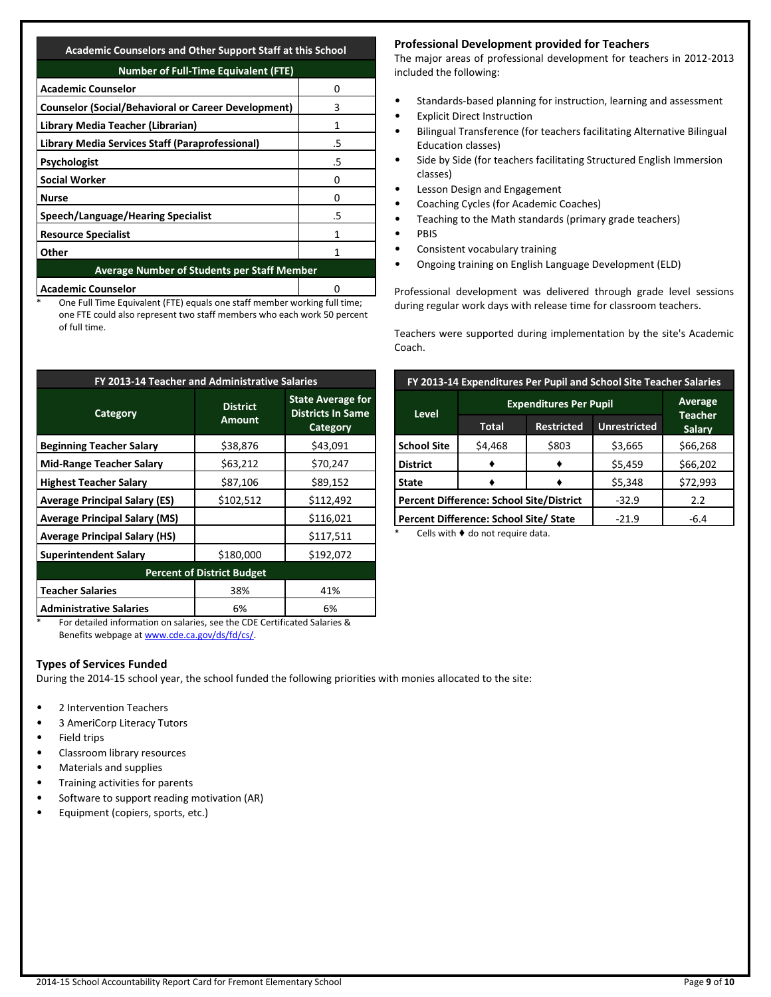| <b>Number of Full-Time Equivalent (FTE)</b>                |    |  |  |  |
|------------------------------------------------------------|----|--|--|--|
| <b>Academic Counselor</b>                                  | 0  |  |  |  |
| <b>Counselor (Social/Behavioral or Career Development)</b> | 3  |  |  |  |
| Library Media Teacher (Librarian)                          | 1  |  |  |  |
| Library Media Services Staff (Paraprofessional)            | .5 |  |  |  |
| <b>Psychologist</b>                                        | .5 |  |  |  |
| <b>Social Worker</b>                                       | O  |  |  |  |
| <b>Nurse</b>                                               |    |  |  |  |
| Speech/Language/Hearing Specialist                         | .5 |  |  |  |
| <b>Resource Specialist</b>                                 |    |  |  |  |
| Other                                                      |    |  |  |  |
| <b>Average Number of Students per Staff Member</b>         |    |  |  |  |
| <b>Academic Counselor</b>                                  |    |  |  |  |

One Full Time Equivalent (FTE) equals one staff member working full time; one FTE could also represent two staff members who each work 50 percent of full time.

| FY 2013-14 Teacher and Administrative Salaries |                                  |                                                                  |  |  |  |  |
|------------------------------------------------|----------------------------------|------------------------------------------------------------------|--|--|--|--|
| <b>Category</b>                                | <b>District</b><br><b>Amount</b> | <b>State Average for</b><br><b>Districts In Same</b><br>Category |  |  |  |  |
| <b>Beginning Teacher Salary</b>                | \$38,876                         | \$43,091                                                         |  |  |  |  |
| <b>Mid-Range Teacher Salary</b>                | \$63,212                         | \$70,247                                                         |  |  |  |  |
| <b>Highest Teacher Salary</b>                  | \$87,106                         | \$89,152                                                         |  |  |  |  |
| <b>Average Principal Salary (ES)</b>           | \$102,512                        | \$112,492                                                        |  |  |  |  |
| <b>Average Principal Salary (MS)</b>           |                                  | \$116,021                                                        |  |  |  |  |
| <b>Average Principal Salary (HS)</b>           |                                  | \$117,511                                                        |  |  |  |  |
| <b>Superintendent Salary</b>                   | \$180,000                        | \$192,072                                                        |  |  |  |  |
| <b>Percent of District Budget</b>              |                                  |                                                                  |  |  |  |  |
| <b>Teacher Salaries</b>                        | 38%                              | 41%                                                              |  |  |  |  |
| <b>Administrative Salaries</b>                 | 6%                               | 6%                                                               |  |  |  |  |

\* For detailed information on salaries, see the CDE Certificated Salaries & Benefits webpage a[t www.cde.ca.gov/ds/fd/cs/.](http://www.cde.ca.gov/ds/fd/cs/)

## **Types of Services Funded**

During the 2014-15 school year, the school funded the following priorities with monies allocated to the site:

- 2 Intervention Teachers
- 3 AmeriCorp Literacy Tutors
- Field trips
- Classroom library resources
- Materials and supplies
- Training activities for parents
- Software to support reading motivation (AR)
- Equipment (copiers, sports, etc.)

#### **Professional Development provided for Teachers**

The major areas of professional development for teachers in 2012-2013 included the following:

- Standards-based planning for instruction, learning and assessment
- **Explicit Direct Instruction**
- Bilingual Transference (for teachers facilitating Alternative Bilingual Education classes)
- Side by Side (for teachers facilitating Structured English Immersion classes)
- Lesson Design and Engagement
- Coaching Cycles (for Academic Coaches)
- Teaching to the Math standards (primary grade teachers)
- PBIS
- Consistent vocabulary training
- Ongoing training on English Language Development (ELD)

Professional development was delivered through grade level sessions during regular work days with release time for classroom teachers.

Teachers were supported during implementation by the site's Academic Coach.

| FY 2013-14 Expenditures Per Pupil and School Site Teacher Salaries |                                                 |                                 |         |          |  |  |
|--------------------------------------------------------------------|-------------------------------------------------|---------------------------------|---------|----------|--|--|
|                                                                    | <b>Expenditures Per Pupil</b>                   | Average                         |         |          |  |  |
| <b>Level</b>                                                       | <b>Total</b>                                    | <b>Teacher</b><br><b>Salary</b> |         |          |  |  |
| <b>School Site</b>                                                 | \$4,468                                         | \$803                           | \$3,665 | \$66,268 |  |  |
| <b>District</b>                                                    |                                                 |                                 | \$5,459 | \$66,202 |  |  |
| <b>State</b>                                                       |                                                 |                                 | \$5,348 | \$72,993 |  |  |
|                                                                    | <b>Percent Difference: School Site/District</b> | $-32.9$                         | 2.2     |          |  |  |
|                                                                    | Percent Difference: School Site/ State          | $-21.9$                         | $-6.4$  |          |  |  |

Cells with  $\blacklozenge$  do not require data.